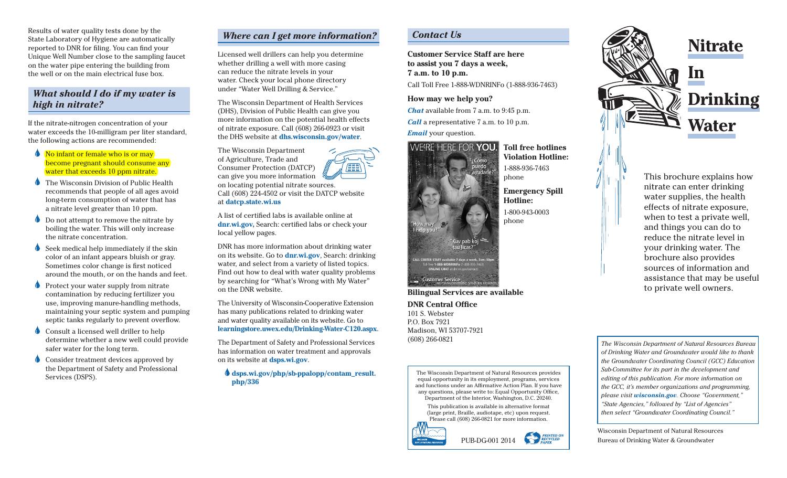Results of water quality tests done by the State Laboratory of Hygiene are automatically reported to DNR for filing. You can find your Unique Well Number close to the sampling faucet on the water pipe entering the building from the well or on the main electrical fuse box.

### *What should I do if my water is high in nitrate?*

If the nitrate-nitrogen concentration of your water exceeds the 10-milligram per liter standard, the following actions are recommended:

**No infant or female who is or may** become pregnant should consume any water that exceeds 10 ppm nitrate.

- **The Wisconsin Division of Public Health** recommends that people of all ages avoid long-term consumption of water that has a nitrate level greater than 10 ppm.
- Do not attempt to remove the nitrate by boiling the water. This will only increase the nitrate concentration.
- Seek medical help immediately if the skin color of an infant appears bluish or gray. Sometimes color change is first noticed around the mouth, or on the hands and feet.
- Protect your water supply from nitrate contamination by reducing fertilizer you use, improving manure-handling methods, maintaining your septic system and pumping septic tanks regularly to prevent overflow.
- Consult a licensed well driller to help determine whether a new well could provide safer water for the long term.
- Consider treatment devices approved by the Department of Safety and Professional Services (DSPS).

## *Where can I get more information?*

Licensed well drillers can help you determine whether drilling a well with more casing can reduce the nitrate levels in your water. Check your local phone directory under "Water Well Drilling & Service."

The Wisconsin Department of Health Services (DHS), Division of Public Health can give you more information on the potential health effects of nitrate exposure. Call (608) 266-0923 or visit the DHS website at **dhs.wisconsin.gov/water**.

The Wisconsin Department of Agriculture, Trade and Consumer Protection (DATCP) / E E E can give you more information on locating potential nitrate sources. Call (608) 224-4502 or visit the DATCP website at **datcp.state.wi.us**

A list of certified labs is available online at **dnr.wi.gov,** Search: certified labs or check your local yellow pages.

DNR has more information about drinking water on its website. Go to **dnr.wi.gov**, Search: drinking water, and select from a variety of listed topics. Find out how to deal with water quality problems by searching for "What's Wrong with My Water" on the DNR website.

The University of Wisconsin-Cooperative Extension has many publications related to drinking water and water quality available on its website. Go to **learningstore.uwex.edu/Drinking-Water-C120.aspx**.

The Department of Safety and Professional Services has information on water treatment and approvals on its website at **dsps.wi.gov**.

 $\bigcirc$  dsps.wi.gov/php/sb-ppalopp/contam\_result. **php/336**

# *Contact Us*

**Customer Service Staff are here to assist you 7 days a week, 7 a.m. to 10 p.m.**

Call Toll Free 1-888-WDNRINFo (1-888-936-7463)

The Wisconsin Department of Natural Resources provides equal opportunity in its employment, programs, services and functions under an Affirmative Action Plan. If you have any questions, please write to: Equal Opportunity Office, Department of the Interior, Washington, D.C. 20240. This publication is available in alternative format (large print, Braille, audiotape, etc) upon request. Please call (608) 266-0821 for more information.

PUB-DG-001 2014

**PRINTED ON<br>RECYCLED<br>PAPER** 

**How may we help you?**

*Chat* available from 7 a.m. to 9:45 p.m. *Call* a representative 7 a.m. to 10 p.m.

*Email* your question.



**DNR Central Office** 101 S. Webster P.O. Box 7921

Madison, WI 53707-7921

(608) 266-0821

**Toll free hotlines Violation Hotline:**  1-888-936-7463 phone

**Emergency Spill Hotline:** 1-800-943-0003 phone



*The Wisconsin Department of Natural Resources Bureau of Drinking Water and Groundwater would like to thank the Groundwater Coordinating Council (GCC) Education Sub-Committee for its part in the development and editing of this publication. For more information on the GCC, it's member organizations and programming, please visit wisconsin.gov. Choose "Government," "State Agencies," followed by "List of Agencies" then select "Groundwater Coordinating Council."*

sources of information and assistance that may be useful

to private well owners.

Wisconsin Department of Natural Resources Bureau of Drinking Water & Groundwater